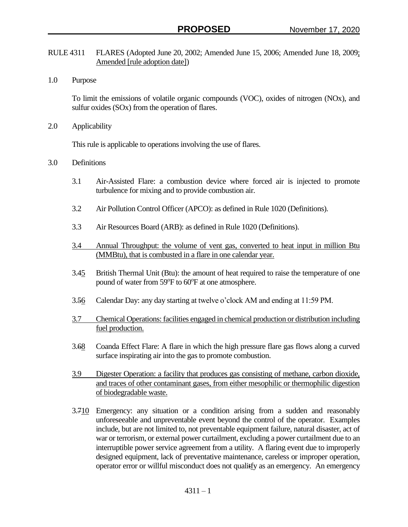- RULE 4311 FLARES (Adopted June 20, 2002; Amended June 15, 2006; Amended June 18, 2009; Amended [rule adoption date])
- 1.0 Purpose

To limit the emissions of volatile organic compounds (VOC), oxides of nitrogen (NOx), and sulfur oxides (SOx) from the operation of flares.

2.0 Applicability

This rule is applicable to operations involving the use of flares.

- 3.0 Definitions
	- 3.1 Air-Assisted Flare: a combustion device where forced air is injected to promote turbulence for mixing and to provide combustion air.
	- 3.2 Air Pollution Control Officer (APCO): as defined in Rule 1020 (Definitions).
	- 3.3 Air Resources Board (ARB): as defined in Rule 1020 (Definitions).
	- 3.4 Annual Throughput: the volume of vent gas, converted to heat input in million Btu (MMBtu), that is combusted in a flare in one calendar year.
	- 3.45 British Thermal Unit (Btu): the amount of heat required to raise the temperature of one pound of water from 59°F to 60°F at one atmosphere.
	- 3.56 Calendar Day: any day starting at twelve o'clock AM and ending at 11:59 PM.
	- 3.7 Chemical Operations: facilities engaged in chemical production or distribution including fuel production.
	- 3.68 Coanda Effect Flare: A flare in which the high pressure flare gas flows along a curved surface inspirating air into the gas to promote combustion.
	- 3.9 Digester Operation: a facility that produces gas consisting of methane, carbon dioxide, and traces of other contaminant gases, from either mesophilic or thermophilic digestion of biodegradable waste.
	- 3.710 Emergency: any situation or a condition arising from a sudden and reasonably unforeseeable and unpreventable event beyond the control of the operator. Examples include, but are not limited to, not preventable equipment failure, natural disaster, act of war or terrorism, or external power curtailment, excluding a power curtailment due to an interruptible power service agreement from a utility. A flaring event due to improperly designed equipment, lack of preventative maintenance, careless or improper operation, operator error or willful misconduct does not qualitfy as an emergency. An emergency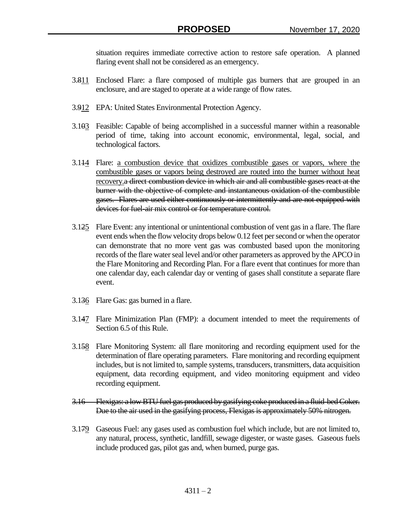situation requires immediate corrective action to restore safe operation. A planned flaring event shall not be considered as an emergency.

- 3.811 Enclosed Flare: a flare composed of multiple gas burners that are grouped in an enclosure, and are staged to operate at a wide range of flow rates.
- 3.912 EPA: United States Environmental Protection Agency.
- 3.103 Feasible: Capable of being accomplished in a successful manner within a reasonable period of time, taking into account economic, environmental, legal, social, and technological factors.
- 3.114 Flare: a combustion device that oxidizes combustible gases or vapors, where the combustible gases or vapors being destroyed are routed into the burner without heat recovery.a direct combustion device in which air and all combustible gases react at the burner with the objective of complete and instantaneous oxidation of the combustible gases. Flares are used either continuously or intermittently and are not equipped with devices for fuel-air mix control or for temperature control.
- 3.125 Flare Event: any intentional or unintentional combustion of vent gas in a flare. The flare event ends when the flow velocity drops below 0.12 feet per second or when the operator can demonstrate that no more vent gas was combusted based upon the monitoring records of the flare water seal level and/or other parameters as approved by the APCO in the Flare Monitoring and Recording Plan. For a flare event that continues for more than one calendar day, each calendar day or venting of gases shall constitute a separate flare event.
- 3.136 Flare Gas: gas burned in a flare.
- 3.147 Flare Minimization Plan (FMP): a document intended to meet the requirements of Section 6.5 of this Rule.
- 3.158 Flare Monitoring System: all flare monitoring and recording equipment used for the determination of flare operating parameters. Flare monitoring and recording equipment includes, but is not limited to, sample systems, transducers, transmitters, data acquisition equipment, data recording equipment, and video monitoring equipment and video recording equipment.
- 3.16 Flexigas: a low BTU fuel gas produced by gasifying coke produced in a fluid-bed Coker. Due to the air used in the gasifying process, Flexigas is approximately 50% nitrogen.
- 3.179 Gaseous Fuel: any gases used as combustion fuel which include, but are not limited to, any natural, process, synthetic, landfill, sewage digester, or waste gases. Gaseous fuels include produced gas, pilot gas and, when burned, purge gas.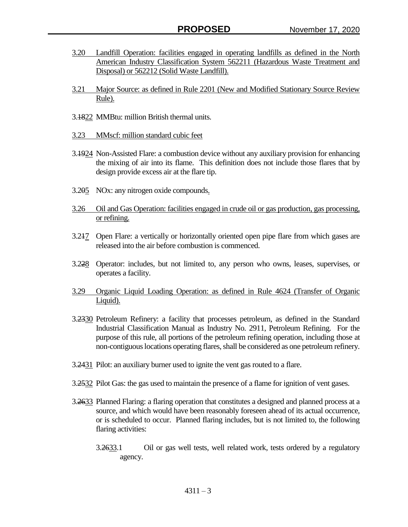- 3.20 Landfill Operation: facilities engaged in operating landfills as defined in the North American Industry Classification System 562211 (Hazardous Waste Treatment and Disposal) or 562212 (Solid Waste Landfill).
- 3.21 Major Source: as defined in Rule 2201 (New and Modified Stationary Source Review Rule).
- 3.1822 MMBtu: million British thermal units.
- 3.23 MMscf: million standard cubic feet
- 3.1924 Non-Assisted Flare: a combustion device without any auxiliary provision for enhancing the mixing of air into its flame. This definition does not include those flares that by design provide excess air at the flare tip.
- 3.205 NOx: any nitrogen oxide compounds.
- 3.26 Oil and Gas Operation: facilities engaged in crude oil or gas production, gas processing, or refining.
- 3.217 Open Flare: a vertically or horizontally oriented open pipe flare from which gases are released into the air before combustion is commenced.
- 3.228 Operator: includes, but not limited to, any person who owns, leases, supervises, or operates a facility.
- 3.29 Organic Liquid Loading Operation: as defined in Rule 4624 (Transfer of Organic Liquid).
- 3.2330 Petroleum Refinery: a facility that processes petroleum, as defined in the Standard Industrial Classification Manual as Industry No. 2911, Petroleum Refining. For the purpose of this rule, all portions of the petroleum refining operation, including those at non-contiguous locations operating flares, shall be considered as one petroleum refinery.
- 3.2431 Pilot: an auxiliary burner used to ignite the vent gas routed to a flare.
- 3.2532 Pilot Gas: the gas used to maintain the presence of a flame for ignition of vent gases.
- 3.2633 Planned Flaring: a flaring operation that constitutes a designed and planned process at a source, and which would have been reasonably foreseen ahead of its actual occurrence, or is scheduled to occur. Planned flaring includes, but is not limited to, the following flaring activities:
	- 3.2633.1 Oil or gas well tests, well related work, tests ordered by a regulatory agency.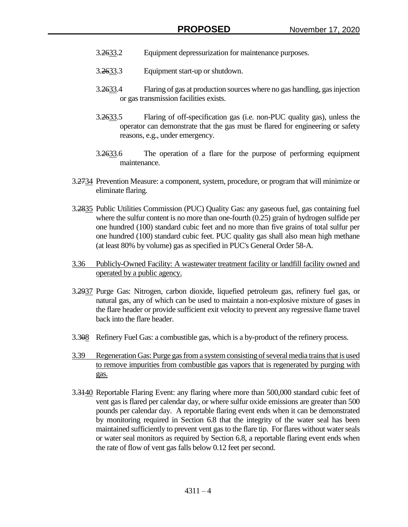- 3.2633.2 Equipment depressurization for maintenance purposes.
- 3.2633.3 Equipment start-up or shutdown.
- 3.2633.4 Flaring of gas at production sources where no gas handling, gas injection or gas transmission facilities exists.
- 3.2633.5 Flaring of off-specification gas (i.e. non-PUC quality gas), unless the operator can demonstrate that the gas must be flared for engineering or safety reasons, e.g., under emergency.
- 3.2633.6 The operation of a flare for the purpose of performing equipment maintenance.
- 3.2734 Prevention Measure: a component, system, procedure, or program that will minimize or eliminate flaring.
- 3.2835 Public Utilities Commission (PUC) Quality Gas: any gaseous fuel, gas containing fuel where the sulfur content is no more than one-fourth (0.25) grain of hydrogen sulfide per one hundred (100) standard cubic feet and no more than five grains of total sulfur per one hundred (100) standard cubic feet. PUC quality gas shall also mean high methane (at least 80% by volume) gas as specified in PUC's General Order 58-A.
- 3.36 Publicly-Owned Facility: A wastewater treatment facility or landfill facility owned and operated by a public agency.
- 3.2937 Purge Gas: Nitrogen, carbon dioxide, liquefied petroleum gas, refinery fuel gas, or natural gas, any of which can be used to maintain a non-explosive mixture of gases in the flare header or provide sufficient exit velocity to prevent any regressive flame travel back into the flare header.
- 3.308 Refinery Fuel Gas: a combustible gas, which is a by-product of the refinery process.
- 3.39 Regeneration Gas: Purge gas from a system consisting of several media trains that is used to remove impurities from combustible gas vapors that is regenerated by purging with gas.
- 3.3140 Reportable Flaring Event: any flaring where more than 500,000 standard cubic feet of vent gas is flared per calendar day, or where sulfur oxide emissions are greater than 500 pounds per calendar day. A reportable flaring event ends when it can be demonstrated by monitoring required in Section 6.8 that the integrity of the water seal has been maintained sufficiently to prevent vent gas to the flare tip. For flares without water seals or water seal monitors as required by Section 6.8, a reportable flaring event ends when the rate of flow of vent gas falls below 0.12 feet per second.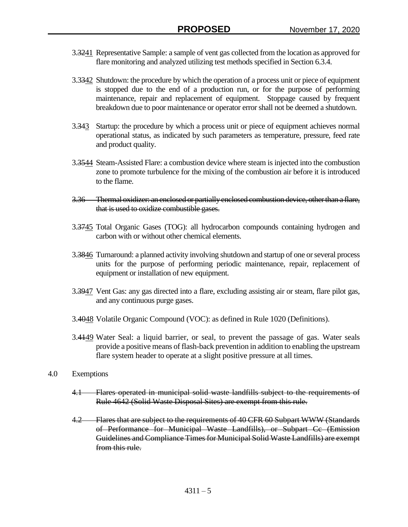- 3.3241 Representative Sample: a sample of vent gas collected from the location as approved for flare monitoring and analyzed utilizing test methods specified in Section 6.3.4.
- 3.3342 Shutdown: the procedure by which the operation of a process unit or piece of equipment is stopped due to the end of a production run, or for the purpose of performing maintenance, repair and replacement of equipment. Stoppage caused by frequent breakdown due to poor maintenance or operator error shall not be deemed a shutdown.
- 3.343 Startup: the procedure by which a process unit or piece of equipment achieves normal operational status, as indicated by such parameters as temperature, pressure, feed rate and product quality.
- 3.3544 Steam-Assisted Flare: a combustion device where steam is injected into the combustion zone to promote turbulence for the mixing of the combustion air before it is introduced to the flame.
- 3.36 Thermal oxidizer: an enclosed or partially enclosed combustion device, other than a flare, that is used to oxidize combustible gases.
- 3.3745 Total Organic Gases (TOG): all hydrocarbon compounds containing hydrogen and carbon with or without other chemical elements.
- 3.3846 Turnaround: a planned activity involving shutdown and startup of one or several process units for the purpose of performing periodic maintenance, repair, replacement of equipment or installation of new equipment.
- 3.3947 Vent Gas: any gas directed into a flare, excluding assisting air or steam, flare pilot gas, and any continuous purge gases.
- 3.4048 Volatile Organic Compound (VOC): as defined in Rule 1020 (Definitions).
- 3.4149 Water Seal: a liquid barrier, or seal, to prevent the passage of gas. Water seals provide a positive means of flash-back prevention in addition to enabling the upstream flare system header to operate at a slight positive pressure at all times.
- 4.0 Exemptions
	- 4.1 Flares operated in municipal solid waste landfills subject to the requirements of Rule 4642 (Solid Waste Disposal Sites) are exempt from this rule.
	- 4.2 Flares that are subject to the requirements of 40 CFR 60 Subpart WWW (Standards of Performance for Municipal Waste Landfills), or Subpart Cc (Emission Guidelines and Compliance Times for Municipal Solid Waste Landfills) are exempt from this rule.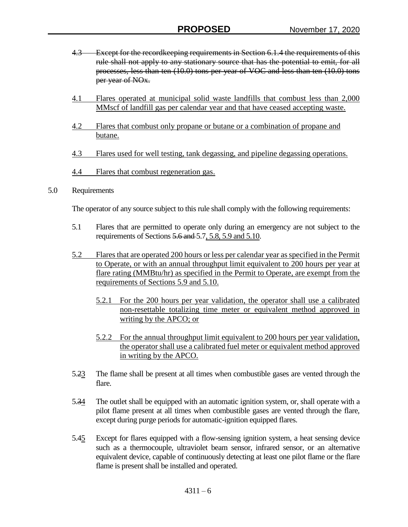- 4.3 Except for the record keeping requirements in Section 6.1.4 the requirements of this rule shall not apply to any stationary source that has the potential to emit, for all processes, less than ten (10.0) tons per year of VOC and less than ten (10.0) tons per year of NOx.
- 4.1 Flares operated at municipal solid waste landfills that combust less than 2,000 MMscf of landfill gas per calendar year and that have ceased accepting waste.
- 4.2 Flares that combust only propane or butane or a combination of propane and butane.
- 4.3 Flares used for well testing, tank degassing, and pipeline degassing operations.
- 4.4 Flares that combust regeneration gas.
- 5.0 Requirements

The operator of any source subject to this rule shall comply with the following requirements:

- 5.1 Flares that are permitted to operate only during an emergency are not subject to the requirements of Sections 5.6 and 5.7, 5.8, 5.9 and 5.10.
- 5.2 Flares that are operated 200 hours or less per calendar year as specified in the Permit to Operate, or with an annual throughput limit equivalent to 200 hours per year at flare rating (MMBtu/hr) as specified in the Permit to Operate, are exempt from the requirements of Sections 5.9 and 5.10.
	- 5.2.1 For the 200 hours per year validation, the operator shall use a calibrated non-resettable totalizing time meter or equivalent method approved in writing by the APCO; or
	- 5.2.2 For the annual throughput limit equivalent to 200 hours per year validation, the operator shall use a calibrated fuel meter or equivalent method approved in writing by the APCO.
- 5.23 The flame shall be present at all times when combustible gases are vented through the flare.
- 5.34 The outlet shall be equipped with an automatic ignition system, or, shall operate with a pilot flame present at all times when combustible gases are vented through the flare, except during purge periods for automatic-ignition equipped flares.
- 5.45 Except for flares equipped with a flow-sensing ignition system, a heat sensing device such as a thermocouple, ultraviolet beam sensor, infrared sensor, or an alternative equivalent device, capable of continuously detecting at least one pilot flame or the flare flame is present shall be installed and operated.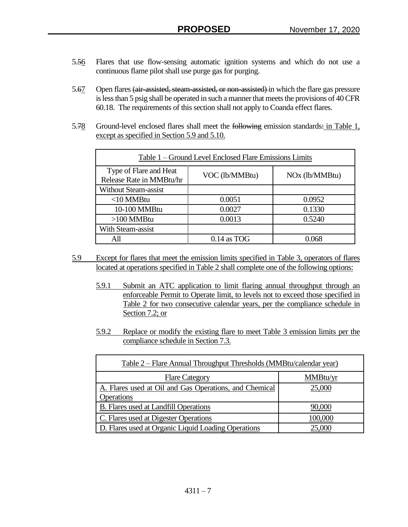- 5.56 Flares that use flow-sensing automatic ignition systems and which do not use a continuous flame pilot shall use purge gas for purging.
- 5.67 Open flares (air-assisted, steam-assisted, or non-assisted) in which the flare gas pressure is less than 5 psig shall be operated in such a manner that meets the provisions of 40 CFR 60.18. The requirements of this section shall not apply to Coanda effect flares.
- 5.78 Ground-level enclosed flares shall meet the following emission standards: in Table 1, except as specified in Section 5.9 and 5.10.

| Table 1 – Ground Level Enclosed Flare Emissions Limits |                |                            |
|--------------------------------------------------------|----------------|----------------------------|
| Type of Flare and Heat<br>Release Rate in MMBtu/hr     | VOC (lb/MMBtu) | NO <sub>x</sub> (lb/MMBtu) |
| <b>Without Steam-assist</b>                            |                |                            |
| $<$ 10 MMBtu                                           | 0.0051         | 0.0952                     |
| 10-100 MMBtu                                           | 0.0027         | 0.1330                     |
| $>100$ MMBtu                                           | 0.0013         | 0.5240                     |
| With Steam-assist                                      |                |                            |
| All                                                    | $0.14$ as TOG  | 0 068                      |

- 5.9 Except for flares that meet the emission limits specified in Table 3, operators of flares located at operations specified in Table 2 shall complete one of the following options:
	- 5.9.1 Submit an ATC application to limit flaring annual throughput through an enforceable Permit to Operate limit, to levels not to exceed those specified in Table 2 for two consecutive calendar years, per the compliance schedule in Section 7.2; or
	- 5.9.2 Replace or modify the existing flare to meet Table 3 emission limits per the compliance schedule in Section 7.3.

| Table 2 – Flare Annual Throughput Thresholds (MMBtu/calendar year) |          |
|--------------------------------------------------------------------|----------|
| <b>Flare Category</b>                                              | MMBtu/yr |
| A. Flares used at Oil and Gas Operations, and Chemical             | 25,000   |
| Operations                                                         |          |
| <b>B.</b> Flares used at Landfill Operations                       | 90,000   |
| C. Flares used at Digester Operations                              | 100,000  |
| D. Flares used at Organic Liquid Loading Operations                | 25,000   |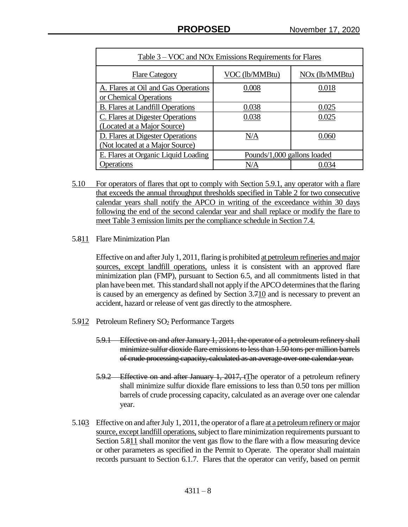| Table 3 – VOC and NOx Emissions Requirements for Flares |                             |                            |
|---------------------------------------------------------|-----------------------------|----------------------------|
| <b>Flare Category</b>                                   | VOC (lb/MMBtu)              | NO <sub>x</sub> (lb/MMBtu) |
| A. Flares at Oil and Gas Operations                     | 0.008                       | 0.018                      |
| or Chemical Operations                                  |                             |                            |
| <b>B.</b> Flares at Landfill Operations                 | 0.038                       | 0.025                      |
| C. Flares at Digester Operations                        | 0.038                       | 0.025                      |
| (Located at a Major Source)                             |                             |                            |
| D. Flares at Digester Operations                        | N/A                         | 0.060                      |
| (Not located at a Major Source)                         |                             |                            |
| E. Flares at Organic Liquid Loading                     | Pounds/1,000 gallons loaded |                            |
| Operations                                              | N/A                         | 0.034                      |

- 5.10 For operators of flares that opt to comply with Section 5.9.1, any operator with a flare that exceeds the annual throughput thresholds specified in Table 2 for two consecutive calendar years shall notify the APCO in writing of the exceedance within 30 days following the end of the second calendar year and shall replace or modify the flare to meet Table 3 emission limits per the compliance schedule in Section 7.4.
- 5.811 Flare Minimization Plan

Effective on and after July 1, 2011, flaring is prohibited at petroleum refineries and major sources, except landfill operations, unless it is consistent with an approved flare minimization plan (FMP), pursuant to Section 6.5, and all commitments listed in that plan have been met. This standard shall not apply if the APCO determines that the flaring is caused by an emergency as defined by Section 3.710 and is necessary to prevent an accident, hazard or release of vent gas directly to the atmosphere.

- 5.912 Petroleum Refinery SO<sub>2</sub> Performance Targets
	- 5.9.1 Effective on and after January 1, 2011, the operator of a petroleum refinery shall minimize sulfur dioxide flare emissions to less than 1.50 tons per million barrels of crude processing capacity, calculated as an average over one calendar year.
	- 5.9.2 Effective on and after January 1, 2017, tThe operator of a petroleum refinery shall minimize sulfur dioxide flare emissions to less than 0.50 tons per million barrels of crude processing capacity, calculated as an average over one calendar year.
- 5.103 Effective on and after July 1, 2011, the operator of a flare at a petroleum refinery or major source, except landfill operations, subject to flare minimization requirements pursuant to Section 5.811 shall monitor the vent gas flow to the flare with a flow measuring device or other parameters as specified in the Permit to Operate. The operator shall maintain records pursuant to Section 6.1.7. Flares that the operator can verify, based on permit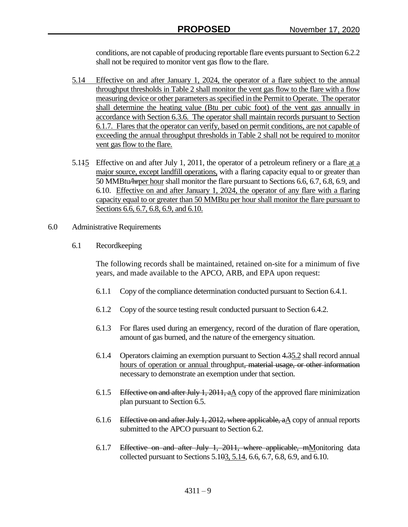conditions, are not capable of producing reportable flare events pursuant to Section 6.2.2 shall not be required to monitor vent gas flow to the flare.

- 5.14 Effective on and after January 1, 2024, the operator of a flare subject to the annual throughput thresholds in Table 2 shall monitor the vent gas flow to the flare with a flow measuring device or other parameters as specified in the Permit to Operate. The operator shall determine the heating value (Btu per cubic foot) of the vent gas annually in accordance with Section 6.3.6. The operator shall maintain records pursuant to Section 6.1.7. Flares that the operator can verify, based on permit conditions, are not capable of exceeding the annual throughput thresholds in Table 2 shall not be required to monitor vent gas flow to the flare.
- 5.115 Effective on and after July 1, 2011, the operator of a petroleum refinery or a flare at a major source, except landfill operations, with a flaring capacity equal to or greater than 50 MMBtu/hrper hour shall monitor the flare pursuant to Sections 6.6, 6.7, 6.8, 6.9, and 6.10. Effective on and after January 1, 2024, the operator of any flare with a flaring capacity equal to or greater than 50 MMBtu per hour shall monitor the flare pursuant to Sections 6.6, 6.7, 6.8, 6.9, and 6.10.
- 6.0 Administrative Requirements
	- 6.1 Recordkeeping

The following records shall be maintained, retained on-site for a minimum of five years, and made available to the APCO, ARB, and EPA upon request:

- 6.1.1 Copy of the compliance determination conducted pursuant to Section 6.4.1.
- 6.1.2 Copy of the source testing result conducted pursuant to Section 6.4.2.
- 6.1.3 For flares used during an emergency, record of the duration of flare operation, amount of gas burned, and the nature of the emergency situation.
- 6.1.4 Operators claiming an exemption pursuant to Section 4.35.2 shall record annual hours of operation or annual throughput, material usage, or other information necessary to demonstrate an exemption under that section.
- 6.1.5 Effective on and after July 1,  $2011$ , aA copy of the approved flare minimization plan pursuant to Section 6.5.
- 6.1.6 Effective on and after July 1, 2012, where applicable,  $a\Delta$  copy of annual reports submitted to the APCO pursuant to Section 6.2.
- 6.1.7 Effective on and after July 1, 2011, where applicable, mMonitoring data collected pursuant to Sections 5.103, 5.14, 6.6, 6.7, 6.8, 6.9, and 6.10.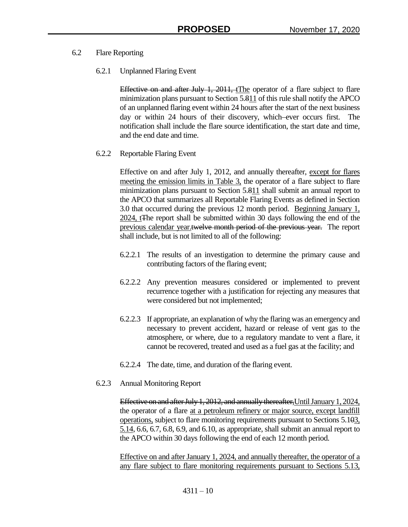- 6.2 Flare Reporting
	- 6.2.1 Unplanned Flaring Event

Effective on and after July 1, 2011, tThe operator of a flare subject to flare minimization plans pursuant to Section 5.811 of this rule shall notify the APCO of an unplanned flaring event within 24 hours after the start of the next business day or within 24 hours of their discovery, which ever occurs first. The notification shall include the flare source identification, the start date and time, and the end date and time.

6.2.2 Reportable Flaring Event

Effective on and after July 1, 2012, and annually thereafter, except for flares meeting the emission limits in Table 3, the operator of a flare subject to flare minimization plans pursuant to Section 5.811 shall submit an annual report to the APCO that summarizes all Reportable Flaring Events as defined in Section 3.0 that occurred during the previous 12 month period. Beginning January 1, 2024, tThe report shall be submitted within 30 days following the end of the previous calendar year.twelve month period of the previous year. The report shall include, but is not limited to all of the following:

- 6.2.2.1 The results of an investigation to determine the primary cause and contributing factors of the flaring event;
- 6.2.2.2 Any prevention measures considered or implemented to prevent recurrence together with a justification for rejecting any measures that were considered but not implemented;
- 6.2.2.3 If appropriate, an explanation of why the flaring was an emergency and necessary to prevent accident, hazard or release of vent gas to the atmosphere, or where, due to a regulatory mandate to vent a flare, it cannot be recovered, treated and used as a fuel gas at the facility; and
- 6.2.2.4 The date, time, and duration of the flaring event.
- 6.2.3 Annual Monitoring Report

Effective on and after July 1, 2012, and annually thereafter,Until January 1, 2024, the operator of a flare at a petroleum refinery or major source, except landfill operations, subject to flare monitoring requirements pursuant to Sections 5.103, 5.14, 6.6, 6.7, 6.8, 6.9, and 6.10, as appropriate, shall submit an annual report to the APCO within 30 days following the end of each 12 month period.

Effective on and after January 1, 2024, and annually thereafter, the operator of a any flare subject to flare monitoring requirements pursuant to Sections 5.13,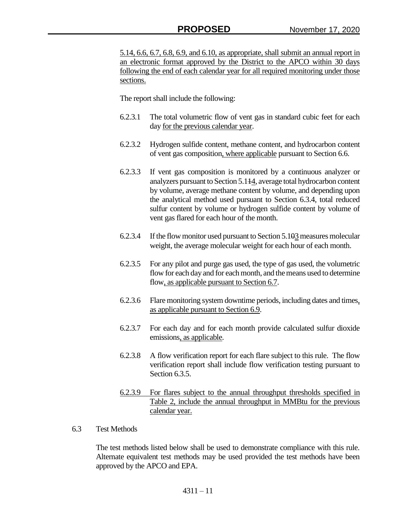5.14, 6.6, 6.7, 6.8, 6.9, and 6.10, as appropriate, shall submit an annual report in an electronic format approved by the District to the APCO within 30 days following the end of each calendar year for all required monitoring under those sections.

The report shall include the following:

- 6.2.3.1 The total volumetric flow of vent gas in standard cubic feet for each day for the previous calendar year.
- 6.2.3.2 Hydrogen sulfide content, methane content, and hydrocarbon content of vent gas composition, where applicable pursuant to Section 6.6.
- 6.2.3.3 If vent gas composition is monitored by a continuous analyzer or analyzers pursuant to Section 5.114, average total hydrocarbon content by volume, average methane content by volume, and depending upon the analytical method used pursuant to Section 6.3.4, total reduced sulfur content by volume or hydrogen sulfide content by volume of vent gas flared for each hour of the month.
- 6.2.3.4 If the flow monitor used pursuant to Section 5.103measures molecular weight, the average molecular weight for each hour of each month.
- 6.2.3.5 For any pilot and purge gas used, the type of gas used, the volumetric flow for each day and for each month, and the means used to determine flow, as applicable pursuant to Section 6.7.
- 6.2.3.6 Flare monitoring system downtime periods, including dates and times, as applicable pursuant to Section 6.9.
- 6.2.3.7 For each day and for each month provide calculated sulfur dioxide emissions, as applicable.
- 6.2.3.8 A flow verification report for each flare subject to this rule. The flow verification report shall include flow verification testing pursuant to Section 6.3.5.
- 6.2.3.9 For flares subject to the annual throughput thresholds specified in Table 2, include the annual throughput in MMBtu for the previous calendar year.

## 6.3 Test Methods

The test methods listed below shall be used to demonstrate compliance with this rule. Alternate equivalent test methods may be used provided the test methods have been approved by the APCO and EPA.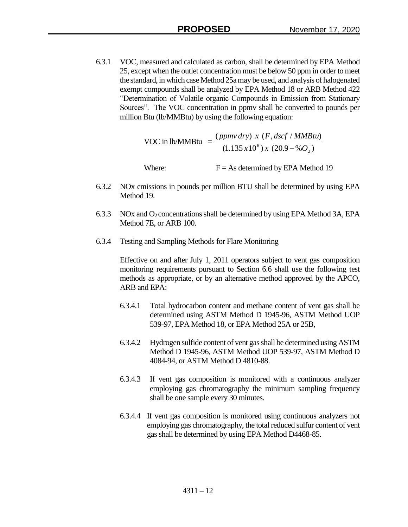6.3.1 VOC, measured and calculated as carbon, shall be determined by EPA Method 25, except when the outlet concentration must be below 50 ppm in order to meet the standard, in which case Method 25a may be used, and analysis of halogenated exempt compounds shall be analyzed by EPA Method 18 or ARB Method 422 "Determination of Volatile organic Compounds in Emission from Stationary Sources". The VOC concentration in ppmv shall be converted to pounds per million Btu (lb/MMBtu) by using the following equation:

> VOC in  $lb/MMBtu =$  $(1.135 \, x 10^6) \, x \, (20.9 - \% \, O_2)$  $(ppmv\, dry) \, x \, (F, dscf/MMBtu)$ 2  $x10^6$ ) x (20.9 – %O *ppmv dry x F dscf MMBtu*  $\overline{a}$

Where:  $F = As$  determined by EPA Method 19

- 6.3.2 NOx emissions in pounds per million BTU shall be determined by using EPA Method 19.
- 6.3.3 NOx and O<sub>2</sub> concentrations shall be determined by using EPA Method 3A, EPA Method 7E, or ARB 100.
- 6.3.4 Testing and Sampling Methods for Flare Monitoring

Effective on and after July 1, 2011 operators subject to vent gas composition monitoring requirements pursuant to Section 6.6 shall use the following test methods as appropriate, or by an alternative method approved by the APCO, ARB and EPA:

- 6.3.4.1 Total hydrocarbon content and methane content of vent gas shall be determined using ASTM Method D 1945-96, ASTM Method UOP 539-97, EPA Method 18, or EPA Method 25A or 25B,
- 6.3.4.2 Hydrogen sulfide content of vent gas shall be determined using ASTM Method D 1945-96, ASTM Method UOP 539-97, ASTM Method D 4084-94, or ASTM Method D 4810-88.
- 6.3.4.3 If vent gas composition is monitored with a continuous analyzer employing gas chromatography the minimum sampling frequency shall be one sample every 30 minutes.
- 6.3.4.4 If vent gas composition is monitored using continuous analyzers not employing gas chromatography, the total reduced sulfur content of vent gas shall be determined by using EPA Method D4468-85.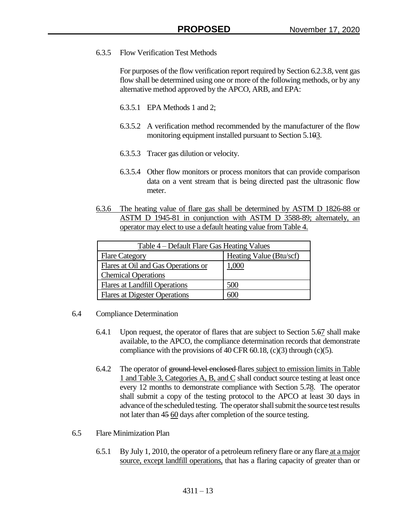## 6.3.5 Flow Verification Test Methods

For purposes of the flow verification report required by Section 6.2.3.8, vent gas flow shall be determined using one or more of the following methods, or by any alternative method approved by the APCO, ARB, and EPA:

- 6.3.5.1 EPA Methods 1 and 2;
- 6.3.5.2 A verification method recommended by the manufacturer of the flow monitoring equipment installed pursuant to Section 5.103.
- 6.3.5.3 Tracer gas dilution or velocity.
- 6.3.5.4 Other flow monitors or process monitors that can provide comparison data on a vent stream that is being directed past the ultrasonic flow meter.
- 6.3.6 The heating value of flare gas shall be determined by ASTM D 1826-88 or ASTM D 1945-81 in conjunction with ASTM D 3588-89; alternately, an operator may elect to use a default heating value from Table 4.

| Table 4 – Default Flare Gas Heating Values                  |                         |
|-------------------------------------------------------------|-------------------------|
| <b>Flare Category</b>                                       | Heating Value (Btu/scf) |
| Flares at Oil and Gas Operations or                         | 1,000                   |
| <b>Chemical Operations</b><br>Flares at Landfill Operations | 500                     |
| <b>Flares at Digester Operations</b>                        |                         |

- 6.4 Compliance Determination
	- 6.4.1 Upon request, the operator of flares that are subject to Section 5.67 shall make available, to the APCO, the compliance determination records that demonstrate compliance with the provisions of 40 CFR 60.18,  $(c)(3)$  through  $(c)(5)$ .
	- 6.4.2 The operator of ground-level enclosed-flares subject to emission limits in Table 1 and Table 3, Categories A, B, and C shall conduct source testing at least once every 12 months to demonstrate compliance with Section 5.78. The operator shall submit a copy of the testing protocol to the APCO at least 30 days in advance of the scheduled testing. The operator shall submit the source test results not later than 45 60 days after completion of the source testing.
- 6.5 Flare Minimization Plan
	- 6.5.1 By July 1, 2010, the operator of a petroleum refinery flare or any flare at a major source, except landfill operations, that has a flaring capacity of greater than or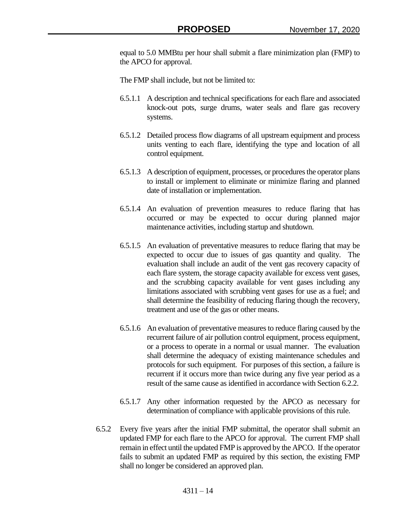equal to 5.0 MMBtu per hour shall submit a flare minimization plan (FMP) to the APCO for approval.

The FMP shall include, but not be limited to:

- 6.5.1.1 A description and technical specifications for each flare and associated knock-out pots, surge drums, water seals and flare gas recovery systems.
- 6.5.1.2 Detailed process flow diagrams of all upstream equipment and process units venting to each flare, identifying the type and location of all control equipment.
- 6.5.1.3 A description of equipment, processes, or procedures the operator plans to install or implement to eliminate or minimize flaring and planned date of installation or implementation.
- 6.5.1.4 An evaluation of prevention measures to reduce flaring that has occurred or may be expected to occur during planned major maintenance activities, including startup and shutdown.
- 6.5.1.5 An evaluation of preventative measures to reduce flaring that may be expected to occur due to issues of gas quantity and quality. The evaluation shall include an audit of the vent gas recovery capacity of each flare system, the storage capacity available for excess vent gases, and the scrubbing capacity available for vent gases including any limitations associated with scrubbing vent gases for use as a fuel; and shall determine the feasibility of reducing flaring though the recovery, treatment and use of the gas or other means.
- 6.5.1.6 An evaluation of preventative measures to reduce flaring caused by the recurrent failure of air pollution control equipment, process equipment, or a process to operate in a normal or usual manner. The evaluation shall determine the adequacy of existing maintenance schedules and protocols for such equipment. For purposes of this section, a failure is recurrent if it occurs more than twice during any five year period as a result of the same cause as identified in accordance with Section 6.2.2.
- 6.5.1.7 Any other information requested by the APCO as necessary for determination of compliance with applicable provisions of this rule.
- 6.5.2 Every five years after the initial FMP submittal, the operator shall submit an updated FMP for each flare to the APCO for approval. The current FMP shall remain in effect until the updated FMP is approved by the APCO. If the operator fails to submit an updated FMP as required by this section, the existing FMP shall no longer be considered an approved plan.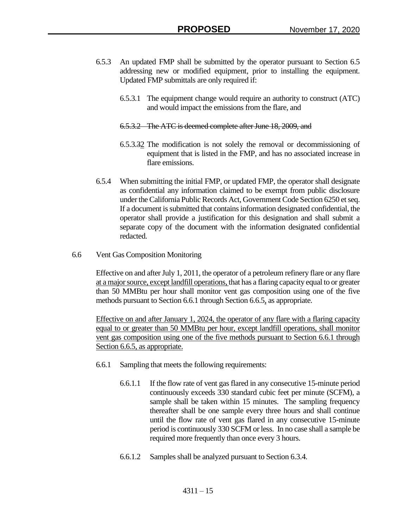- 6.5.3 An updated FMP shall be submitted by the operator pursuant to Section 6.5 addressing new or modified equipment, prior to installing the equipment. Updated FMP submittals are only required if:
	- 6.5.3.1 The equipment change would require an authority to construct (ATC) and would impact the emissions from the flare, and
	- 6.5.3.2 The ATC is deemed complete after June 18, 2009, and
	- 6.5.3.32 The modification is not solely the removal or decommissioning of equipment that is listed in the FMP, and has no associated increase in flare emissions.
- 6.5.4 When submitting the initial FMP, or updated FMP, the operator shall designate as confidential any information claimed to be exempt from public disclosure under the California Public Records Act, Government Code Section 6250 et seq. If a document is submitted that contains information designated confidential, the operator shall provide a justification for this designation and shall submit a separate copy of the document with the information designated confidential redacted.
- 6.6 Vent Gas Composition Monitoring

Effective on and after July 1, 2011, the operator of a petroleum refinery flare or any flare at a major source, except landfill operations, that has a flaring capacity equal to or greater than 50 MMBtu per hour shall monitor vent gas composition using one of the five methods pursuant to Section 6.6.1 through Section 6.6.5, as appropriate.

Effective on and after January 1, 2024, the operator of any flare with a flaring capacity equal to or greater than 50 MMBtu per hour, except landfill operations, shall monitor vent gas composition using one of the five methods pursuant to Section 6.6.1 through Section 6.6.5, as appropriate.

- 6.6.1 Sampling that meets the following requirements:
	- 6.6.1.1 If the flow rate of vent gas flared in any consecutive 15-minute period continuously exceeds 330 standard cubic feet per minute (SCFM), a sample shall be taken within 15 minutes. The sampling frequency thereafter shall be one sample every three hours and shall continue until the flow rate of vent gas flared in any consecutive 15-minute period is continuously 330 SCFM or less. In no case shall a sample be required more frequently than once every 3 hours.
	- 6.6.1.2 Samples shall be analyzed pursuant to Section 6.3.4.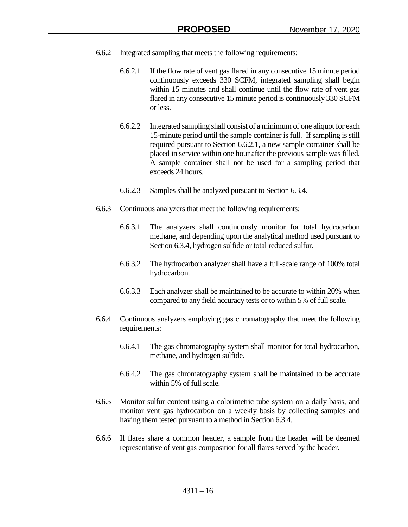- 6.6.2 Integrated sampling that meets the following requirements:
	- 6.6.2.1 If the flow rate of vent gas flared in any consecutive 15 minute period continuously exceeds 330 SCFM, integrated sampling shall begin within 15 minutes and shall continue until the flow rate of vent gas flared in any consecutive 15 minute period is continuously 330 SCFM or less.
	- 6.6.2.2 Integrated sampling shall consist of a minimum of one aliquot for each 15-minute period until the sample container is full. If sampling is still required pursuant to Section 6.6.2.1, a new sample container shall be placed in service within one hour after the previous sample was filled. A sample container shall not be used for a sampling period that exceeds 24 hours.
	- 6.6.2.3 Samples shall be analyzed pursuant to Section 6.3.4.
	- 6.6.3 Continuous analyzers that meet the following requirements:
		- 6.6.3.1 The analyzers shall continuously monitor for total hydrocarbon methane, and depending upon the analytical method used pursuant to Section 6.3.4, hydrogen sulfide or total reduced sulfur.
		- 6.6.3.2 The hydrocarbon analyzer shall have a full-scale range of 100% total hydrocarbon.
		- 6.6.3.3 Each analyzer shall be maintained to be accurate to within 20% when compared to any field accuracy tests or to within 5% of full scale.
- 6.6.4 Continuous analyzers employing gas chromatography that meet the following requirements:
	- 6.6.4.1 The gas chromatography system shall monitor for total hydrocarbon, methane, and hydrogen sulfide.
	- 6.6.4.2 The gas chromatography system shall be maintained to be accurate within 5% of full scale.
- 6.6.5 Monitor sulfur content using a colorimetric tube system on a daily basis, and monitor vent gas hydrocarbon on a weekly basis by collecting samples and having them tested pursuant to a method in Section 6.3.4.
- 6.6.6 If flares share a common header, a sample from the header will be deemed representative of vent gas composition for all flares served by the header.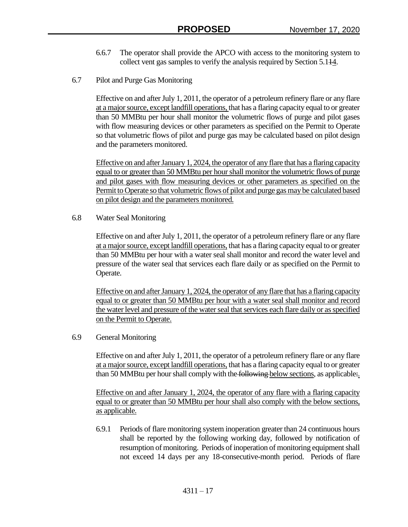- 6.6.7 The operator shall provide the APCO with access to the monitoring system to collect vent gas samples to verify the analysis required by Section 5.114.
- 6.7 Pilot and Purge Gas Monitoring

Effective on and after July 1, 2011, the operator of a petroleum refinery flare or any flare at a major source, except landfill operations, that has a flaring capacity equal to or greater than 50 MMBtu per hour shall monitor the volumetric flows of purge and pilot gases with flow measuring devices or other parameters as specified on the Permit to Operate so that volumetric flows of pilot and purge gas may be calculated based on pilot design and the parameters monitored.

Effective on and after January 1, 2024, the operator of any flare that has a flaring capacity equal to or greater than 50 MMBtu per hourshall monitor the volumetric flows of purge and pilot gases with flow measuring devices or other parameters as specified on the Permit to Operate so that volumetric flows of pilot and purge gas may be calculated based on pilot design and the parameters monitored.

6.8 Water Seal Monitoring

Effective on and after July 1, 2011, the operator of a petroleum refinery flare or any flare at a major source, except landfill operations, that has a flaring capacity equal to or greater than 50 MMBtu per hour with a water seal shall monitor and record the water level and pressure of the water seal that services each flare daily or as specified on the Permit to Operate.

Effective on and after January 1, 2024, the operator of any flare that has a flaring capacity equal to or greater than 50 MMBtu per hour with a water seal shall monitor and record the water level and pressure of the water seal that services each flare daily or as specified on the Permit to Operate.

## 6.9 General Monitoring

Effective on and after July 1, 2011, the operator of a petroleum refinery flare or any flare at a major source, except landfill operations, that has a flaring capacity equal to or greater than 50 MMBtu per hour shall comply with the following below sections, as applicable.

Effective on and after January 1, 2024, the operator of any flare with a flaring capacity equal to or greater than 50 MMBtu per hour shall also comply with the below sections, as applicable.

6.9.1 Periods of flare monitoring system inoperation greater than 24 continuous hours shall be reported by the following working day, followed by notification of resumption of monitoring. Periods of inoperation of monitoring equipment shall not exceed 14 days per any 18-consecutive-month period. Periods of flare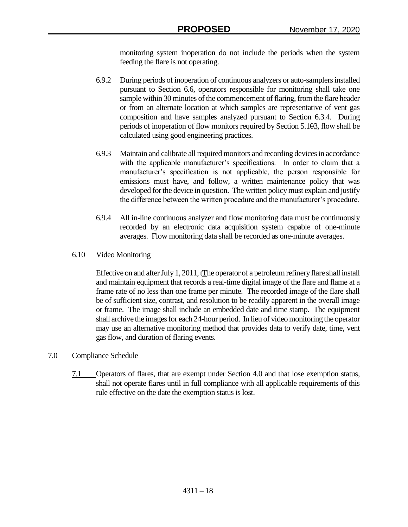monitoring system inoperation do not include the periods when the system feeding the flare is not operating.

- 6.9.2 During periods of inoperation of continuous analyzers or auto-samplers installed pursuant to Section 6.6, operators responsible for monitoring shall take one sample within 30 minutes of the commencement of flaring, from the flare header or from an alternate location at which samples are representative of vent gas composition and have samples analyzed pursuant to Section 6.3.4. During periods of inoperation of flow monitors required by Section 5.103, flow shall be calculated using good engineering practices.
- 6.9.3 Maintain and calibrate all required monitors and recording devices in accordance with the applicable manufacturer's specifications. In order to claim that a manufacturer's specification is not applicable, the person responsible for emissions must have, and follow, a written maintenance policy that was developed for the device in question. The written policy must explain and justify the difference between the written procedure and the manufacturer's procedure.
- 6.9.4 All in-line continuous analyzer and flow monitoring data must be continuously recorded by an electronic data acquisition system capable of one-minute averages. Flow monitoring data shall be recorded as one-minute averages.
- 6.10 Video Monitoring

Effective on and after July 1, 2011, tThe operator of a petroleum refinery flare shall install and maintain equipment that records a real-time digital image of the flare and flame at a frame rate of no less than one frame per minute. The recorded image of the flare shall be of sufficient size, contrast, and resolution to be readily apparent in the overall image or frame. The image shall include an embedded date and time stamp. The equipment shall archive the images for each 24-hour period. In lieu of video monitoring the operator may use an alternative monitoring method that provides data to verify date, time, vent gas flow, and duration of flaring events.

- 7.0 Compliance Schedule
	- 7.1 Operators of flares, that are exempt under Section 4.0 and that lose exemption status, shall not operate flares until in full compliance with all applicable requirements of this rule effective on the date the exemption status is lost.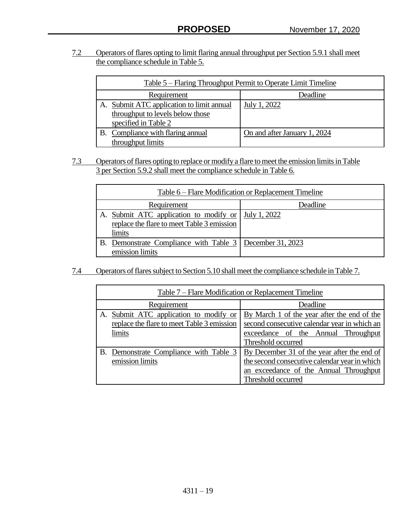7.2 Operators of flares opting to limit flaring annual throughput per Section 5.9.1 shall meet the compliance schedule in Table 5.

| Table 5 – Flaring Throughput Permit to Operate Limit Timeline |                                           |                              |
|---------------------------------------------------------------|-------------------------------------------|------------------------------|
|                                                               | Requirement<br>Deadline                   |                              |
|                                                               | A. Submit ATC application to limit annual | July 1, 2022                 |
|                                                               | throughput to levels below those          |                              |
|                                                               | specified in Table 2                      |                              |
| В.                                                            | Compliance with flaring annual            | On and after January 1, 2024 |
|                                                               | throughput limits                         |                              |

7.3 Operators of flares opting to replace or modify a flare to meet the emission limits in Table 3 per Section 5.9.2 shall meet the compliance schedule in Table 6.

| Table 6 – Flare Modification or Replacement Timeline                                           |              |
|------------------------------------------------------------------------------------------------|--------------|
| Requirement                                                                                    | Deadline     |
| A. Submit ATC application to modify or<br>replace the flare to meet Table 3 emission<br>limits | July 1, 2022 |
| B. Demonstrate Compliance with Table 3   December 31, 2023<br>emission limits                  |              |

7.4 Operators of flares subject to Section 5.10 shall meet the compliance schedule in Table 7.

| Table 7 – Flare Modification or Replacement Timeline                                              |                                                                                                                                                              |
|---------------------------------------------------------------------------------------------------|--------------------------------------------------------------------------------------------------------------------------------------------------------------|
| Requirement                                                                                       | Deadline                                                                                                                                                     |
| Submit ATC application to modify or<br>A.<br>replace the flare to meet Table 3 emission<br>limits | By March 1 of the year after the end of the<br>second consecutive calendar year in which an<br>exceedance of the Annual Throughput<br>Threshold occurred     |
| B. Demonstrate Compliance with Table 3<br>emission limits                                         | By December 31 of the year after the end of<br>the second consecutive calendar year in which<br>an exceedance of the Annual Throughput<br>Threshold occurred |